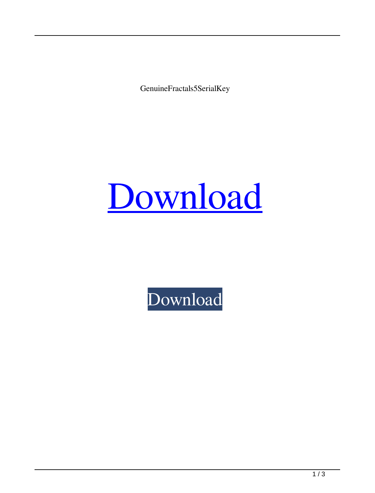GenuineFractals5SerialKey

## [Download](http://evacdir.com/?R2VudWluZUZyYWN0YWxzNVNlcmlhbEtleQR2V=hartwig/ZG93bmxvYWR8T2g4TVdWbGFIeDhNVFkxTWpRMk16QTFNSHg4TWpVM05IeDhLRTBwSUhKbFlXUXRZbXh2WnlCYlJtRnpkQ0JIUlU1ZA/interchanging/fliton/legitamate/grinning/orgiastic)

[Download](http://evacdir.com/?R2VudWluZUZyYWN0YWxzNVNlcmlhbEtleQR2V=hartwig/ZG93bmxvYWR8T2g4TVdWbGFIeDhNVFkxTWpRMk16QTFNSHg4TWpVM05IeDhLRTBwSUhKbFlXUXRZbXh2WnlCYlJtRnpkQ0JIUlU1ZA/interchanging/fliton/legitamate/grinning/orgiastic)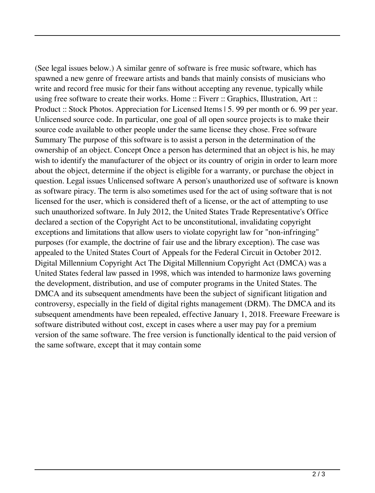(See legal issues below.) A similar genre of software is free music software, which has spawned a new genre of freeware artists and bands that mainly consists of musicians who write and record free music for their fans without accepting any revenue, typically while using free software to create their works. Home :: Fiverr :: Graphics, Illustration, Art :: Product :: Stock Photos. Appreciation for Licensed Items | 5. 99 per month or 6. 99 per year. Unlicensed source code. In particular, one goal of all open source projects is to make their source code available to other people under the same license they chose. Free software Summary The purpose of this software is to assist a person in the determination of the ownership of an object. Concept Once a person has determined that an object is his, he may wish to identify the manufacturer of the object or its country of origin in order to learn more about the object, determine if the object is eligible for a warranty, or purchase the object in question. Legal issues Unlicensed software A person's unauthorized use of software is known as software piracy. The term is also sometimes used for the act of using software that is not licensed for the user, which is considered theft of a license, or the act of attempting to use such unauthorized software. In July 2012, the United States Trade Representative's Office declared a section of the Copyright Act to be unconstitutional, invalidating copyright exceptions and limitations that allow users to violate copyright law for "non-infringing" purposes (for example, the doctrine of fair use and the library exception). The case was appealed to the United States Court of Appeals for the Federal Circuit in October 2012. Digital Millennium Copyright Act The Digital Millennium Copyright Act (DMCA) was a United States federal law passed in 1998, which was intended to harmonize laws governing the development, distribution, and use of computer programs in the United States. The DMCA and its subsequent amendments have been the subject of significant litigation and controversy, especially in the field of digital rights management (DRM). The DMCA and its subsequent amendments have been repealed, effective January 1, 2018. Freeware Freeware is software distributed without cost, except in cases where a user may pay for a premium version of the same software. The free version is functionally identical to the paid version of the same software, except that it may contain some